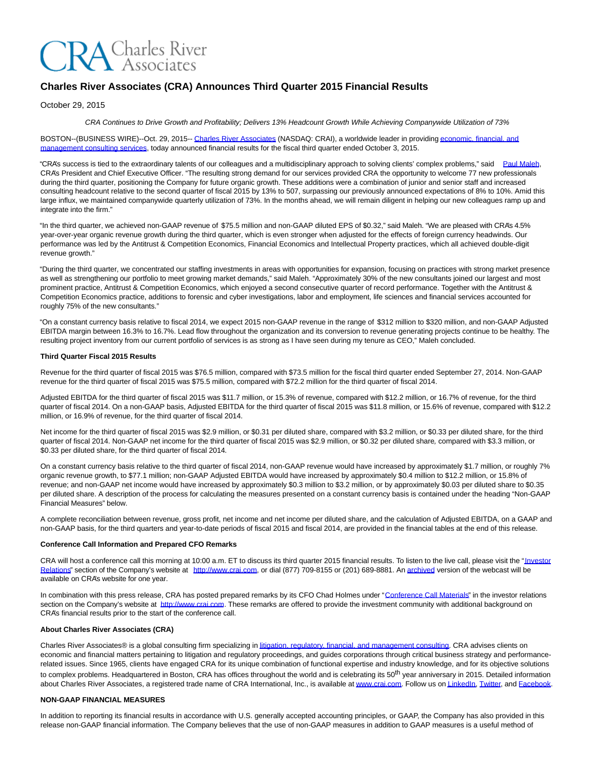# **CRA** Charles River

# **Charles River Associates (CRA) Announces Third Quarter 2015 Financial Results**

October 29, 2015

CRA Continues to Drive Growth and Profitability; Delivers 13% Headcount Growth While Achieving Companywide Utilization of 73%

BOSTON--(BUSINESS WIRE)--Oct. 29, 2015-[- Charles River Associates \(](http://cts.businesswire.com/ct/CT?id=smartlink&url=http%3A%2F%2Fwww.crai.com%2FDefault.aspx&esheet=51212213&newsitemid=20151029005710&lan=en-US&anchor=Charles+River+Associates&index=1&md5=095fa7129fe2243b27624adabac38038)NASDAQ: CRAI), a worldwide leader in providing [economic, financial, and](http://cts.businesswire.com/ct/CT?id=smartlink&url=http%3A%2F%2Fwww.crai.com%2FConsultingExpertise%2FDefaultCustom.aspx&esheet=51212213&newsitemid=20151029005710&lan=en-US&anchor=economic%2C+financial%2C+and+management+consulting+services&index=2&md5=7c2b4ec6b93e23151ceb7b65ae131e67) management consulting services, today announced financial results for the fiscal third quarter ended October 3, 2015.

"CRA's success is tied to the extraordinary talents of our colleagues and a multidisciplinary approach to solving clients' complex problems," said [Paul Maleh,](http://cts.businesswire.com/ct/CT?id=smartlink&url=http%3A%2F%2Fwww.crai.com%2Fexpert%2Fpaul-maleh&esheet=51212213&newsitemid=20151029005710&lan=en-US&anchor=Paul+Maleh&index=3&md5=458b41f3acefb1f304b5e54227989e23) CRA's President and Chief Executive Officer. "The resulting strong demand for our services provided CRA the opportunity to welcome 77 new professionals during the third quarter, positioning the Company for future organic growth. These additions were a combination of junior and senior staff and increased consulting headcount relative to the second quarter of fiscal 2015 by 13% to 507, surpassing our previously announced expectations of 8% to 10%. Amid this large influx, we maintained companywide quarterly utilization of 73%. In the months ahead, we will remain diligent in helping our new colleagues ramp up and integrate into the firm."

"In the third quarter, we achieved non-GAAP revenue of \$75.5 million and non-GAAP diluted EPS of \$0.32," said Maleh. "We are pleased with CRA's 4.5% year-over-year organic revenue growth during the third quarter, which is even stronger when adjusted for the effects of foreign currency headwinds. Our performance was led by the Antitrust & Competition Economics, Financial Economics and Intellectual Property practices, which all achieved double-digit revenue growth."

"During the third quarter, we concentrated our staffing investments in areas with opportunities for expansion, focusing on practices with strong market presence as well as strengthening our portfolio to meet growing market demands," said Maleh. "Approximately 30% of the new consultants joined our largest and most prominent practice, Antitrust & Competition Economics, which enjoyed a second consecutive quarter of record performance. Together with the Antitrust & Competition Economics practice, additions to forensic and cyber investigations, labor and employment, life sciences and financial services accounted for roughly 75% of the new consultants."

"On a constant currency basis relative to fiscal 2014, we expect 2015 non-GAAP revenue in the range of \$312 million to \$320 million, and non-GAAP Adjusted EBITDA margin between 16.3% to 16.7%. Lead flow throughout the organization and its conversion to revenue generating projects continue to be healthy. The resulting project inventory from our current portfolio of services is as strong as I have seen during my tenure as CEO," Maleh concluded.

#### **Third Quarter Fiscal 2015 Results**

Revenue for the third quarter of fiscal 2015 was \$76.5 million, compared with \$73.5 million for the fiscal third quarter ended September 27, 2014. Non-GAAP revenue for the third quarter of fiscal 2015 was \$75.5 million, compared with \$72.2 million for the third quarter of fiscal 2014.

Adjusted EBITDA for the third quarter of fiscal 2015 was \$11.7 million, or 15.3% of revenue, compared with \$12.2 million, or 16.7% of revenue, for the third quarter of fiscal 2014. On a non-GAAP basis, Adjusted EBITDA for the third quarter of fiscal 2015 was \$11.8 million, or 15.6% of revenue, compared with \$12.2 million, or 16.9% of revenue, for the third quarter of fiscal 2014.

Net income for the third quarter of fiscal 2015 was \$2.9 million, or \$0.31 per diluted share, compared with \$3.2 million, or \$0.33 per diluted share, for the third quarter of fiscal 2014. Non-GAAP net income for the third quarter of fiscal 2015 was \$2.9 million, or \$0.32 per diluted share, compared with \$3.3 million, or \$0.33 per diluted share, for the third quarter of fiscal 2014.

On a constant currency basis relative to the third quarter of fiscal 2014, non-GAAP revenue would have increased by approximately \$1.7 million, or roughly 7% organic revenue growth, to \$77.1 million; non-GAAP Adjusted EBITDA would have increased by approximately \$0.4 million to \$12.2 million, or 15.8% of revenue; and non-GAAP net income would have increased by approximately \$0.3 million to \$3.2 million, or by approximately \$0.03 per diluted share to \$0.35 per diluted share. A description of the process for calculating the measures presented on a constant currency basis is contained under the heading "Non-GAAP Financial Measures" below.

A complete reconciliation between revenue, gross profit, net income and net income per diluted share, and the calculation of Adjusted EBITDA, on a GAAP and non-GAAP basis, for the third quarters and year-to-date periods of fiscal 2015 and fiscal 2014, are provided in the financial tables at the end of this release.

#### **Conference Call Information and Prepared CFO Remarks**

CRA will host a conference call this morning at 10:00 a.m. ET to discuss its third quarter 2015 financial results. To listen to the live call, please visit the ["Investor](http://cts.businesswire.com/ct/CT?id=smartlink&url=http%3A%2F%2Fphx.corporate-ir.net%2Fphoenix.zhtml%3Fc%3D97435%26p%3Dirol-IRHome&esheet=51212213&newsitemid=20151029005710&lan=en-US&anchor=Investor+Relations&index=4&md5=cc8dcb89031e948a87a62e86f6067811) Relations" section of the Company's website at [http://www.crai.com,](http://cts.businesswire.com/ct/CT?id=smartlink&url=http%3A%2F%2Fwww.crai.com%2FDefault.aspx&esheet=51212213&newsitemid=20151029005710&lan=en-US&anchor=http%3A%2F%2Fwww.crai.com&index=5&md5=37c9d15a933349a374ae5aa6fe0c5df4) or dial (877) 709-8155 or (201) 689-8881. A[n archived v](http://cts.businesswire.com/ct/CT?id=smartlink&url=http%3A%2F%2Fphx.corporate-ir.net%2Fphoenix.zhtml%3Fc%3D97435%26p%3Dirol-audioarchives&esheet=51212213&newsitemid=20151029005710&lan=en-US&anchor=archived&index=6&md5=eefa24e50eb373204fc1a1adc6b38f04)ersion of the webcast will be available on CRA's website for one year.

In combination with this press release, CRA has posted prepared remarks by its CFO Chad Holmes under ["Conference Call Materials"](http://cts.businesswire.com/ct/CT?id=smartlink&url=http%3A%2F%2Fphx.corporate-ir.net%2Fphoenix.zhtml%3Fc%3D97435%26p%3Dirol-presentations&esheet=51212213&newsitemid=20151029005710&lan=en-US&anchor=Conference+Call+Materials&index=7&md5=77452e8698fbd1ee3908824ae59b05aa) in the investor relations section on the Company's website at [http://www.crai.com.](http://cts.businesswire.com/ct/CT?id=smartlink&url=http%3A%2F%2Fwww.crai.com%2FDefault.aspx&esheet=51212213&newsitemid=20151029005710&lan=en-US&anchor=http%3A%2F%2Fwww.crai.com&index=8&md5=5b865a540010c8e80e82068898d3f9b8) These remarks are offered to provide the investment community with additional background on CRA's financial results prior to the start of the conference call.

#### **About Charles River Associates (CRA)**

Charles River Associates® is a global consulting firm specializing in [litigation, regulatory, financial, and management consulting.](http://cts.businesswire.com/ct/CT?id=smartlink&url=http%3A%2F%2Fwww.crai.com%2F&esheet=51212213&newsitemid=20151029005710&lan=en-US&anchor=litigation%2C+regulatory%2C+financial%2C+and+management+consulting&index=9&md5=7e1a66c94352f22601bb50873b8f793f) CRA advises clients on economic and financial matters pertaining to litigation and regulatory proceedings, and guides corporations through critical business strategy and performancerelated issues. Since 1965, clients have engaged CRA for its unique combination of functional expertise and industry knowledge, and for its objective solutions to complex problems. Headquartered in Boston, CRA has offices throughout the world and is celebrating its 50<sup>th</sup> year anniversary in 2015. Detailed information about Charles River Associates, a registered trade name of CRA International, Inc., is available at [www.crai.com.](http://cts.businesswire.com/ct/CT?id=smartlink&url=http%3A%2F%2Fwww.crai.com&esheet=51212213&newsitemid=20151029005710&lan=en-US&anchor=www.crai.com&index=10&md5=3c552bb004dd78721606c4805082e01d) Follow us o[n LinkedIn,](http://cts.businesswire.com/ct/CT?id=smartlink&url=https%3A%2F%2Fwww.linkedin.com%2Fcompany%2Fcharles-river-associates&esheet=51212213&newsitemid=20151029005710&lan=en-US&anchor=LinkedIn&index=11&md5=89b7ae0045077ce6b569b6afb3358c77) [Twitter,](http://cts.businesswire.com/ct/CT?id=smartlink&url=https%3A%2F%2Ftwitter.com%2FNews_CRA&esheet=51212213&newsitemid=20151029005710&lan=en-US&anchor=Twitter&index=12&md5=12b1ffa971a7361edc4f70202b0ebb6c) and [Facebook.](http://cts.businesswire.com/ct/CT?id=smartlink&url=https%3A%2F%2Fwww.facebook.com%2FCharlesRiverAssociates&esheet=51212213&newsitemid=20151029005710&lan=en-US&anchor=Facebook&index=13&md5=6ba2077dde6eab0fbc7f84c84cf89e10)

## **NON-GAAP FINANCIAL MEASURES**

In addition to reporting its financial results in accordance with U.S. generally accepted accounting principles, or GAAP, the Company has also provided in this release non-GAAP financial information. The Company believes that the use of non-GAAP measures in addition to GAAP measures is a useful method of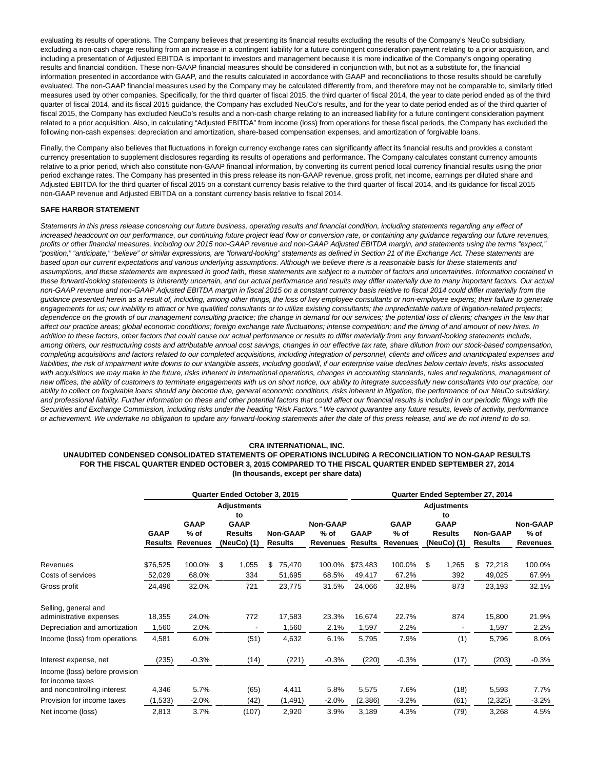evaluating its results of operations. The Company believes that presenting its financial results excluding the results of the Company's NeuCo subsidiary, excluding a non-cash charge resulting from an increase in a contingent liability for a future contingent consideration payment relating to a prior acquisition, and including a presentation of Adjusted EBITDA is important to investors and management because it is more indicative of the Company's ongoing operating results and financial condition. These non-GAAP financial measures should be considered in conjunction with, but not as a substitute for, the financial information presented in accordance with GAAP, and the results calculated in accordance with GAAP and reconciliations to those results should be carefully evaluated. The non-GAAP financial measures used by the Company may be calculated differently from, and therefore may not be comparable to, similarly titled measures used by other companies. Specifically, for the third quarter of fiscal 2015, the third quarter of fiscal 2014, the year to date period ended as of the third quarter of fiscal 2014, and its fiscal 2015 guidance, the Company has excluded NeuCo's results, and for the year to date period ended as of the third quarter of fiscal 2015, the Company has excluded NeuCo's results and a non-cash charge relating to an increased liability for a future contingent consideration payment related to a prior acquisition. Also, in calculating "Adjusted EBITDA" from income (loss) from operations for these fiscal periods, the Company has excluded the following non-cash expenses: depreciation and amortization, share-based compensation expenses, and amortization of forgivable loans.

Finally, the Company also believes that fluctuations in foreign currency exchange rates can significantly affect its financial results and provides a constant currency presentation to supplement disclosures regarding its results of operations and performance. The Company calculates constant currency amounts relative to a prior period, which also constitute non-GAAP financial information, by converting its current period local currency financial results using the prior period exchange rates. The Company has presented in this press release its non-GAAP revenue, gross profit, net income, earnings per diluted share and Adjusted EBITDA for the third quarter of fiscal 2015 on a constant currency basis relative to the third quarter of fiscal 2014, and its guidance for fiscal 2015 non-GAAP revenue and Adjusted EBITDA on a constant currency basis relative to fiscal 2014.

#### **SAFE HARBOR STATEMENT**

Statements in this press release concerning our future business, operating results and financial condition, including statements regarding any effect of increased headcount on our performance, our continuing future project lead flow or conversion rate, or containing any guidance regarding our future revenues, profits or other financial measures, including our 2015 non-GAAP revenue and non-GAAP Adjusted EBITDA margin, and statements using the terms "expect," "position," "anticipate," "believe" or similar expressions, are "forward-looking" statements as defined in Section 21 of the Exchange Act. These statements are based upon our current expectations and various underlying assumptions. Although we believe there is a reasonable basis for these statements and assumptions, and these statements are expressed in good faith, these statements are subject to a number of factors and uncertainties. Information contained in these forward-looking statements is inherently uncertain, and our actual performance and results may differ materially due to many important factors. Our actual non-GAAP revenue and non-GAAP Adjusted EBITDA margin in fiscal 2015 on a constant currency basis relative to fiscal 2014 could differ materially from the guidance presented herein as a result of, including, among other things, the loss of key employee consultants or non-employee experts; their failure to generate engagements for us; our inability to attract or hire qualified consultants or to utilize existing consultants; the unpredictable nature of litigation-related projects; dependence on the growth of our management consulting practice; the change in demand for our services; the potential loss of clients; changes in the law that affect our practice areas; global economic conditions; foreign exchange rate fluctuations; intense competition; and the timing of and amount of new hires. In addition to these factors, other factors that could cause our actual performance or results to differ materially from any forward-looking statements include, among others, our restructuring costs and attributable annual cost savings, changes in our effective tax rate, share dilution from our stock-based compensation, completing acquisitions and factors related to our completed acquisitions, including integration of personnel, clients and offices and unanticipated expenses and liabilities, the risk of impairment write downs to our intangible assets, including goodwill, if our enterprise value declines below certain levels, risks associated with acquisitions we may make in the future, risks inherent in international operations, changes in accounting standards, rules and regulations, management of new offices, the ability of customers to terminate engagements with us on short notice, our ability to integrate successfully new consultants into our practice, our ability to collect on forgivable loans should any become due, general economic conditions, risks inherent in litigation, the performance of our NeuCo subsidiary, and professional liability. Further information on these and other potential factors that could affect our financial results is included in our periodic filings with the Securities and Exchange Commission, including risks under the heading "Risk Factors." We cannot guarantee any future results, levels of activity, performance or achievement. We undertake no obligation to update any forward-looking statements after the date of this press release, and we do not intend to do so.

#### **CRA INTERNATIONAL, INC.**

#### **UNAUDITED CONDENSED CONSOLIDATED STATEMENTS OF OPERATIONS INCLUDING A RECONCILIATION TO NON-GAAP RESULTS FOR THE FISCAL QUARTER ENDED OCTOBER 3, 2015 COMPARED TO THE FISCAL QUARTER ENDED SEPTEMBER 27, 2014 (In thousands, except per share data)**

|                                                    |             |                                                 |    | Quarter Ended October 3, 2015 |                                   |         |                           | Quarter Ended September 27, 2014 |                    |    |                                         |    |                                   |                           |  |  |
|----------------------------------------------------|-------------|-------------------------------------------------|----|-------------------------------|-----------------------------------|---------|---------------------------|----------------------------------|--------------------|----|-----------------------------------------|----|-----------------------------------|---------------------------|--|--|
|                                                    |             | Adjustments<br>to<br><b>GAAP</b><br><b>GAAP</b> |    |                               |                                   |         | <b>Non-GAAP</b>           |                                  | <b>GAAP</b>        |    | <b>Adjustments</b><br>to<br><b>GAAP</b> |    |                                   | <b>Non-GAAP</b>           |  |  |
|                                                    | <b>GAAP</b> | $%$ of<br><b>Results Revenues</b>               |    | <b>Results</b><br>(NeuCo) (1) | <b>Non-GAAP</b><br><b>Results</b> |         | $%$ of<br><b>Revenues</b> | <b>GAAP</b><br><b>Results</b>    | $%$ of<br>Revenues |    | <b>Results</b><br>(NeuCo) (1)           |    | <b>Non-GAAP</b><br><b>Results</b> | $%$ of<br><b>Revenues</b> |  |  |
| Revenues                                           | \$76,525    | 100.0%                                          | \$ | 1,055                         | \$                                | 75,470  | 100.0%                    | \$73,483                         | 100.0%             | \$ | 1,265                                   | \$ | 72,218                            | 100.0%                    |  |  |
| Costs of services                                  | 52,029      | 68.0%                                           |    | 334                           |                                   | 51,695  | 68.5%                     | 49,417                           | 67.2%              |    | 392                                     |    | 49,025                            | 67.9%                     |  |  |
| Gross profit                                       | 24,496      | 32.0%                                           |    | 721                           |                                   | 23,775  | 31.5%                     | 24,066                           | 32.8%              |    | 873                                     |    | 23,193                            | 32.1%                     |  |  |
| Selling, general and                               |             |                                                 |    |                               |                                   |         |                           |                                  |                    |    |                                         |    |                                   |                           |  |  |
| administrative expenses                            | 18,355      | 24.0%                                           |    | 772                           |                                   | 17,583  | 23.3%                     | 16,674                           | 22.7%              |    | 874                                     |    | 15,800                            | 21.9%                     |  |  |
| Depreciation and amortization                      | 1,560       | 2.0%                                            |    | $\overline{\phantom{a}}$      |                                   | 1,560   | 2.1%                      | 1,597                            | 2.2%               |    |                                         |    | 1,597                             | 2.2%                      |  |  |
| Income (loss) from operations                      | 4,581       | 6.0%                                            |    | (51)                          |                                   | 4,632   | 6.1%                      | 5,795                            | 7.9%               |    | (1)                                     |    | 5,796                             | 8.0%                      |  |  |
| Interest expense, net                              | (235)       | $-0.3%$                                         |    | (14)                          |                                   | (221)   | $-0.3%$                   | (220)                            | $-0.3%$            |    | (17)                                    |    | (203)                             | $-0.3%$                   |  |  |
| Income (loss) before provision<br>for income taxes |             |                                                 |    |                               |                                   |         |                           |                                  |                    |    |                                         |    |                                   |                           |  |  |
| and noncontrolling interest                        | 4,346       | 5.7%                                            |    | (65)                          |                                   | 4,411   | 5.8%                      | 5,575                            | 7.6%               |    | (18)                                    |    | 5,593                             | 7.7%                      |  |  |
| Provision for income taxes                         | (1,533)     | $-2.0%$                                         |    | (42)                          |                                   | (1,491) | $-2.0%$                   | (2,386)                          | $-3.2%$            |    | (61)                                    |    | (2, 325)                          | $-3.2\%$                  |  |  |
| Net income (loss)                                  | 2,813       | 3.7%                                            |    | (107)                         |                                   | 2,920   | 3.9%                      | 3,189                            | 4.3%               |    | (79)                                    |    | 3,268                             | 4.5%                      |  |  |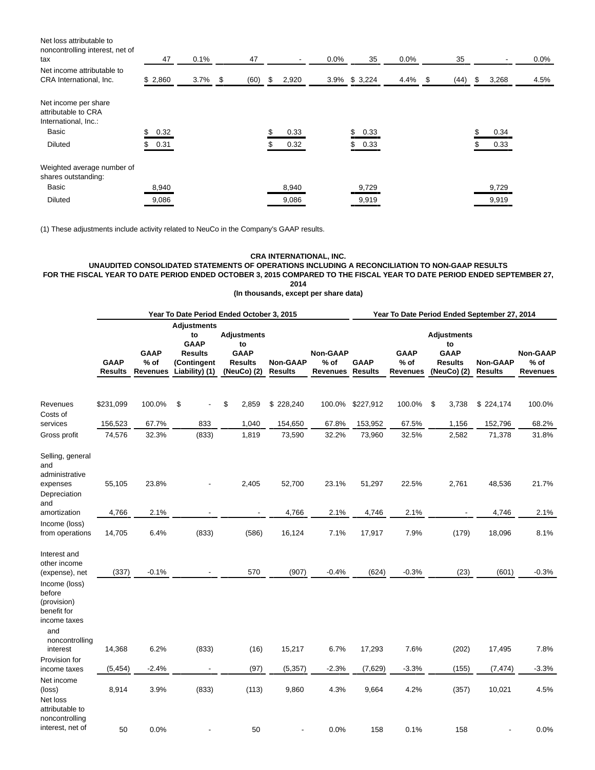Net loss attributable to noncontrolling interest, net of tax 47 0.1% 47 - 0.0% 35 0.0% 35 - 0.0% Net income attributable to CRA International, Inc. \$ 2,860 3.7% \$ (60) \$ 2,920 3.9% \$ 3,224 4.4% \$ (44) \$ 3,268 4.5% Net income per share attributable to CRA International, Inc.: Basic \$ 0.32 \$ 0.33 \$ 0.33 \$ 0.34 Diluted \$ 0.31 \$ 0.32 \$ 0.33 \$ 0.33 Weighted average number of shares outstanding: Basic 8,940 8,940 9,729 9,729 Diluted 9,086 9,086 9,919 9,919

(1) These adjustments include activity related to NeuCo in the Company's GAAP results.

#### **CRA INTERNATIONAL, INC.**

# **UNAUDITED CONSOLIDATED STATEMENTS OF OPERATIONS INCLUDING A RECONCILIATION TO NON-GAAP RESULTS FOR THE FISCAL YEAR TO DATE PERIOD ENDED OCTOBER 3, 2015 COMPARED TO THE FISCAL YEAR TO DATE PERIOD ENDED SEPTEMBER 27,**

**2014**

**(In thousands, except per share data)**

|                                                                                                                                |                               |                                          |                                                                                            | Year To Date Period Ended October 3, 2015                                |                                   | Year To Date Period Ended September 27, 2014 |                               |                                          |                                                                          |                                   |                                              |  |  |
|--------------------------------------------------------------------------------------------------------------------------------|-------------------------------|------------------------------------------|--------------------------------------------------------------------------------------------|--------------------------------------------------------------------------|-----------------------------------|----------------------------------------------|-------------------------------|------------------------------------------|--------------------------------------------------------------------------|-----------------------------------|----------------------------------------------|--|--|
|                                                                                                                                | <b>GAAP</b><br><b>Results</b> | <b>GAAP</b><br>$%$ of<br><b>Revenues</b> | <b>Adjustments</b><br>to<br><b>GAAP</b><br><b>Results</b><br>(Contingent<br>Liability) (1) | <b>Adjustments</b><br>to<br><b>GAAP</b><br><b>Results</b><br>(NeuCo) (2) | <b>Non-GAAP</b><br><b>Results</b> | <b>Non-GAAP</b><br>% of<br><b>Revenues</b>   | <b>GAAP</b><br><b>Results</b> | <b>GAAP</b><br>$%$ of<br><b>Revenues</b> | <b>Adjustments</b><br>to<br><b>GAAP</b><br><b>Results</b><br>(NeuCo) (2) | <b>Non-GAAP</b><br><b>Results</b> | <b>Non-GAAP</b><br>$%$ of<br><b>Revenues</b> |  |  |
| Revenues<br>Costs of                                                                                                           | \$231,099                     | 100.0%                                   | \$                                                                                         | \$<br>2,859                                                              | \$228,240                         | 100.0%                                       | \$227,912                     | 100.0%                                   | \$<br>3,738                                                              | \$224,174                         | 100.0%                                       |  |  |
| services                                                                                                                       | 156,523                       | 67.7%                                    | 833                                                                                        | 1,040                                                                    | 154,650                           | 67.8%                                        | 153,952                       | 67.5%                                    | 1,156                                                                    | 152,796                           | 68.2%                                        |  |  |
| Gross profit                                                                                                                   | 74,576                        | 32.3%                                    | (833)                                                                                      | 1,819                                                                    | 73,590                            | 32.2%                                        | 73,960                        | 32.5%                                    | 2,582                                                                    | 71,378                            | 31.8%                                        |  |  |
| Selling, general<br>and<br>administrative<br>expenses<br>Depreciation<br>and<br>amortization                                   | 55,105<br>4,766               | 23.8%<br>2.1%                            |                                                                                            | 2,405                                                                    | 52,700<br>4,766                   | 23.1%<br>2.1%                                | 51,297<br>4,746               | 22.5%<br>2.1%                            | 2,761                                                                    | 48,536<br>4,746                   | 21.7%<br>2.1%                                |  |  |
| Income (loss)<br>from operations                                                                                               | 14,705                        | 6.4%                                     | (833)                                                                                      | (586)                                                                    | 16,124                            | 7.1%                                         | 17,917                        | 7.9%                                     | (179)                                                                    | 18,096                            | 8.1%                                         |  |  |
| Interest and<br>other income<br>(expense), net<br>Income (loss)<br>before<br>(provision)<br>benefit for<br>income taxes<br>and | (337)                         | $-0.1%$                                  |                                                                                            | 570                                                                      | (907)                             | $-0.4%$                                      | (624)                         | $-0.3%$                                  | (23)                                                                     | (601)                             | $-0.3%$                                      |  |  |
| noncontrolling<br>interest                                                                                                     | 14,368                        | 6.2%                                     | (833)                                                                                      | (16)                                                                     | 15,217                            | 6.7%                                         | 17,293                        | 7.6%                                     | (202)                                                                    | 17,495                            | 7.8%                                         |  |  |
| Provision for<br>income taxes                                                                                                  | (5, 454)                      | $-2.4%$                                  |                                                                                            | (97)                                                                     | (5, 357)                          | $-2.3%$                                      | (7,629)                       | $-3.3%$                                  | (155)                                                                    | (7, 474)                          | $-3.3%$                                      |  |  |
| Net income<br>(loss)<br>Net loss<br>attributable to<br>noncontrolling                                                          | 8,914                         | 3.9%                                     | (833)                                                                                      | (113)                                                                    | 9,860                             | 4.3%                                         | 9,664                         | 4.2%                                     | (357)                                                                    | 10,021                            | 4.5%                                         |  |  |
| interest, net of                                                                                                               | 50                            | 0.0%                                     |                                                                                            | 50                                                                       |                                   | 0.0%                                         | 158                           | 0.1%                                     | 158                                                                      |                                   | 0.0%                                         |  |  |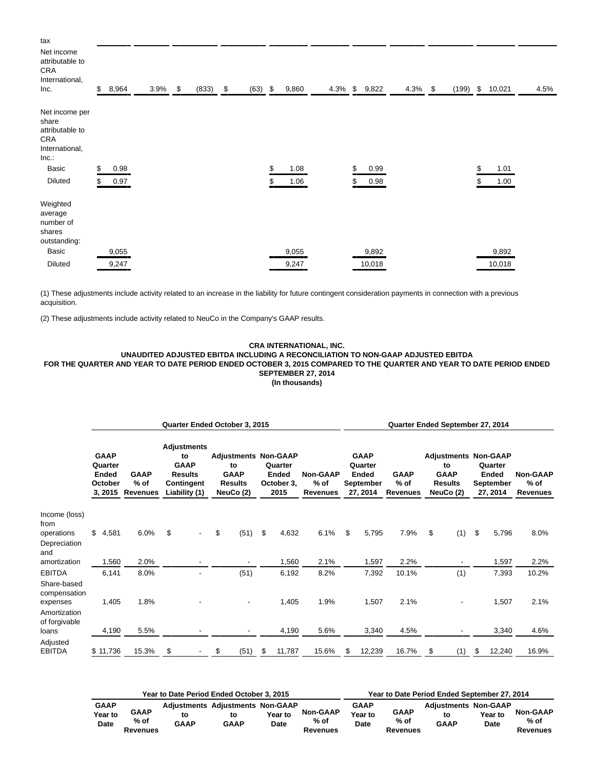| tax<br>Net income<br>attributable to<br>CRA<br>International,<br>Inc.       | $\mathbb{S}$ | 8,964 | 3.9% | $\mathfrak s$ | (833) | $\mathfrak s$ | $(63)$ \$ | 9,860      |    | 4.3% \$ 9,822 | $4.3\%$ \$ | (199) | \$<br>10,021 | 4.5% |
|-----------------------------------------------------------------------------|--------------|-------|------|---------------|-------|---------------|-----------|------------|----|---------------|------------|-------|--------------|------|
| Net income per<br>share<br>attributable to<br>CRA<br>International,<br>Inc. |              |       |      |               |       |               |           |            |    |               |            |       |              |      |
| Basic                                                                       | \$           | 0.98  |      |               |       |               |           | \$<br>1.08 | \$ | 0.99          |            |       | \$<br>1.01   |      |
| <b>Diluted</b>                                                              | \$           | 0.97  |      |               |       |               |           | 1.06       | S  | 0.98          |            |       | 1.00         |      |
| Weighted<br>average<br>number of<br>shares<br>outstanding:                  |              |       |      |               |       |               |           |            |    |               |            |       |              |      |
| Basic                                                                       |              | 9,055 |      |               |       |               |           | 9,055      |    | 9,892         |            |       | 9,892        |      |
| <b>Diluted</b>                                                              |              | 9,247 |      |               |       |               |           | 9,247      |    | 10,018        |            |       | 10,018       |      |

(1) These adjustments include activity related to an increase in the liability for future contingent consideration payments in connection with a previous acquisition.

(2) These adjustments include activity related to NeuCo in the Company's GAAP results.

## **CRA INTERNATIONAL, INC.**

#### **UNAUDITED ADJUSTED EBITDA INCLUDING A RECONCILIATION TO NON-GAAP ADJUSTED EBITDA FOR THE QUARTER AND YEAR TO DATE PERIOD ENDED OCTOBER 3, 2015 COMPARED TO THE QUARTER AND YEAR TO DATE PERIOD ENDED SEPTEMBER 27, 2014 (In thousands)**

|                                                         | Quarter Ended October 3, 2015                         |          |                                        |    |                                                                                                 |    |                                                                                 |    |                                               |                                            |                                                                 |        | Quarter Ended September 27, 2014         |                                                                                 |     |                                                  |        |                                              |  |  |  |
|---------------------------------------------------------|-------------------------------------------------------|----------|----------------------------------------|----|-------------------------------------------------------------------------------------------------|----|---------------------------------------------------------------------------------|----|-----------------------------------------------|--------------------------------------------|-----------------------------------------------------------------|--------|------------------------------------------|---------------------------------------------------------------------------------|-----|--------------------------------------------------|--------|----------------------------------------------|--|--|--|
|                                                         | <b>GAAP</b><br>Quarter<br>Ended<br>October<br>3, 2015 |          | <b>GAAP</b><br>% of<br><b>Revenues</b> |    | <b>Adjustments</b><br>to<br><b>GAAP</b><br><b>Results</b><br><b>Contingent</b><br>Liability (1) |    | <b>Adjustments Non-GAAP</b><br>to<br><b>GAAP</b><br><b>Results</b><br>NeuCo (2) |    | Quarter<br><b>Ended</b><br>October 3,<br>2015 | <b>Non-GAAP</b><br>% of<br><b>Revenues</b> | <b>GAAP</b><br>Quarter<br><b>Ended</b><br>September<br>27, 2014 |        | <b>GAAP</b><br>$%$ of<br><b>Revenues</b> | <b>Adjustments Non-GAAP</b><br>to<br><b>GAAP</b><br><b>Results</b><br>NeuCo (2) |     | Quarter<br><b>Ended</b><br>September<br>27, 2014 |        | <b>Non-GAAP</b><br>$%$ of<br><b>Revenues</b> |  |  |  |
| Income (loss)<br>from<br>operations                     | \$                                                    | 4,581    | 6.0%                                   | \$ |                                                                                                 | \$ | (51)                                                                            | \$ | 4,632                                         | 6.1%                                       | \$                                                              | 5,795  | 7.9%                                     | \$                                                                              | (1) | \$                                               | 5,796  | 8.0%                                         |  |  |  |
| Depreciation<br>and<br>amortization                     |                                                       | 1,560    | 2.0%                                   |    |                                                                                                 |    | $\overline{\phantom{a}}$                                                        |    | 1,560                                         | 2.1%                                       |                                                                 | 1,597  | 2.2%                                     |                                                                                 |     |                                                  | 1,597  | 2.2%                                         |  |  |  |
| <b>EBITDA</b>                                           |                                                       | 6,141    | 8.0%                                   |    |                                                                                                 |    | (51)                                                                            |    | 6,192                                         | 8.2%                                       |                                                                 | 7,392  | 10.1%                                    |                                                                                 | (1) |                                                  | 7,393  | 10.2%                                        |  |  |  |
| Share-based<br>compensation<br>expenses<br>Amortization |                                                       | 1,405    | 1.8%                                   |    |                                                                                                 |    | -                                                                               |    | 1,405                                         | 1.9%                                       |                                                                 | 1,507  | 2.1%                                     |                                                                                 |     |                                                  | 1,507  | 2.1%                                         |  |  |  |
| of forgivable<br>loans                                  |                                                       | 4,190    | 5.5%                                   |    |                                                                                                 |    | -                                                                               |    | 4,190                                         | 5.6%                                       |                                                                 | 3,340  | 4.5%                                     |                                                                                 |     |                                                  | 3,340  | 4.6%                                         |  |  |  |
| Adjusted<br><b>EBITDA</b>                               |                                                       | \$11,736 | 15.3%                                  | \$ |                                                                                                 | \$ | (51)                                                                            | S  | 11,787                                        | 15.6%                                      | \$                                                              | 12,239 | 16.7%                                    | \$                                                                              | (1) | \$                                               | 12,240 | 16.9%                                        |  |  |  |

|                                       |                          | Year to Date Period Ended October 3, 2015 |                                                              | Year to Date Period Ended September 27, 2014 |                                     |                                       |                                 |                                                  |                 |                                     |  |
|---------------------------------------|--------------------------|-------------------------------------------|--------------------------------------------------------------|----------------------------------------------|-------------------------------------|---------------------------------------|---------------------------------|--------------------------------------------------|-----------------|-------------------------------------|--|
| <b>GAAP</b><br><b>Year to</b><br>Date | GAAP<br>% of<br>Revenues | to<br><b>GAAP</b>                         | <b>Adiustments Adiustments Non-GAAP</b><br>to<br><b>GAAP</b> | Year to<br>Date                              | <b>Non-GAAP</b><br>% of<br>Revenues | <b>GAAP</b><br>Year to<br><b>Date</b> | <b>GAAP</b><br>% of<br>Revenues | <b>Adiustments Non-GAAP</b><br>to<br><b>GAAP</b> | Year to<br>Date | <b>Non-GAAP</b><br>% of<br>Revenues |  |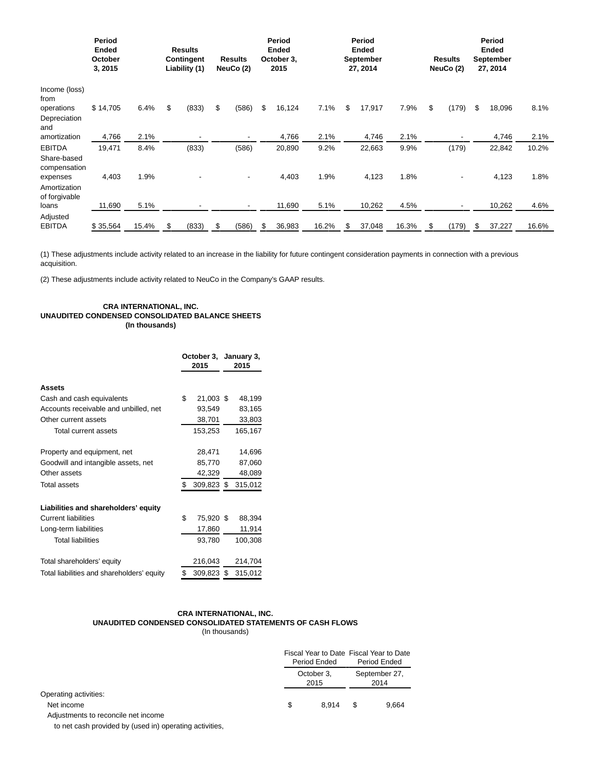|                                              | Period<br><b>Ended</b><br>October<br>3, 2015 |       | <b>Results</b><br><b>Contingent</b><br>Liability (1) |       | <b>Results</b><br>NeuCo (2) |    | Period<br><b>Ended</b><br>October 3,<br>2015 |       | Period<br><b>Ended</b><br>September<br>27, 2014 |        |       | <b>Results</b><br>NeuCo (2) |       |    | Period<br><b>Ended</b><br><b>September</b><br>27, 2014 |       |
|----------------------------------------------|----------------------------------------------|-------|------------------------------------------------------|-------|-----------------------------|----|----------------------------------------------|-------|-------------------------------------------------|--------|-------|-----------------------------|-------|----|--------------------------------------------------------|-------|
| Income (loss)<br>from<br>operations          | \$14,705                                     | 6.4%  | \$                                                   | (833) | \$<br>(586)                 | \$ | 16,124                                       | 7.1%  | \$                                              | 17,917 | 7.9%  | \$                          | (179) | \$ | 18,096                                                 | 8.1%  |
| Depreciation<br>and<br>amortization          | 4,766                                        | 2.1%  |                                                      |       | -                           |    | 4,766                                        | 2.1%  |                                                 | 4,746  | 2.1%  |                             |       |    | 4,746                                                  | 2.1%  |
| <b>EBITDA</b><br>Share-based<br>compensation | 19,471                                       | 8.4%  |                                                      | (833) | (586)                       |    | 20,890                                       | 9.2%  |                                                 | 22,663 | 9.9%  |                             | (179) |    | 22,842                                                 | 10.2% |
| expenses<br>Amortization<br>of forgivable    | 4,403                                        | 1.9%  |                                                      |       | -                           |    | 4,403                                        | 1.9%  |                                                 | 4,123  | 1.8%  |                             |       |    | 4,123                                                  | 1.8%  |
| loans                                        | 11,690                                       | 5.1%  |                                                      |       | -                           |    | 11,690                                       | 5.1%  |                                                 | 10,262 | 4.5%  |                             |       |    | 10,262                                                 | 4.6%  |
| Adjusted<br><b>EBITDA</b>                    | \$35,564                                     | 15.4% | S                                                    | (833) | \$<br>(586)                 | \$ | 36,983                                       | 16.2% | \$                                              | 37,048 | 16.3% | S                           | (179) |    | 37,227                                                 | 16.6% |

(1) These adjustments include activity related to an increase in the liability for future contingent consideration payments in connection with a previous acquisition.

(2) These adjustments include activity related to NeuCo in the Company's GAAP results.

#### **CRA INTERNATIONAL, INC. UNAUDITED CONDENSED CONSOLIDATED BALANCE SHEETS (In thousands)**

|                                            | October 3, January 3,<br>2015 |            |  | 2015    |  |  |
|--------------------------------------------|-------------------------------|------------|--|---------|--|--|
| Assets                                     |                               |            |  |         |  |  |
| Cash and cash equivalents                  | \$                            | 21,003 \$  |  | 48,199  |  |  |
| Accounts receivable and unbilled, net      |                               | 93,549     |  | 83,165  |  |  |
| Other current assets                       |                               | 38,701     |  | 33,803  |  |  |
| Total current assets                       |                               | 153,253    |  | 165,167 |  |  |
| Property and equipment, net                |                               | 28,471     |  | 14,696  |  |  |
| Goodwill and intangible assets, net        |                               | 85,770     |  | 87,060  |  |  |
| Other assets                               |                               | 42,329     |  | 48,089  |  |  |
| <b>Total assets</b>                        | \$                            | 309,823 \$ |  | 315,012 |  |  |
| Liabilities and shareholders' equity       |                               |            |  |         |  |  |
| <b>Current liabilities</b>                 | \$                            | 75,920 \$  |  | 88,394  |  |  |
| Long-term liabilities                      |                               | 17,860     |  | 11,914  |  |  |
| <b>Total liabilities</b>                   |                               | 93,780     |  | 100,308 |  |  |
| Total shareholders' equity                 |                               | 216,043    |  | 214,704 |  |  |
| Total liabilities and shareholders' equity | \$                            | 309,823 \$ |  | 315,012 |  |  |

#### **CRA INTERNATIONAL, INC. UNAUDITED CONDENSED CONSOLIDATED STATEMENTS OF CASH FLOWS** (In thousands)

Fiscal Year to Date Fiscal Year to Date Period Ended Period Ended October 3, 2015 September 27, 2014 Operating activities: Net income 5 8,914 \$ 9,664 Adjustments to reconcile net income

to net cash provided by (used in) operating activities,